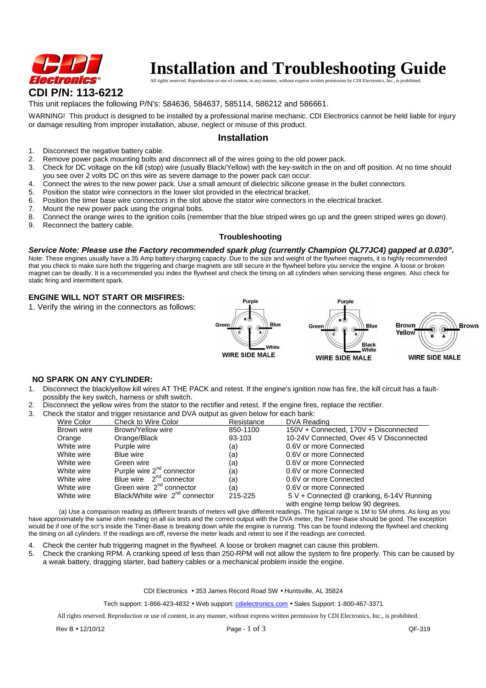

# **Installation and Troubleshooting Guide**

ner, without express written permission by CDI Electronics, inc., inc., inc., inc., inc., inc., inc., is protic

## This unit replaces the following P/N's: 584636, 584637, 585114, 586212 and 586661.

WARNING! This product is designed to be installed by a professional marine mechanic. CDI Electronics cannot be held liable for injury or damage resulting from improper installation, abuse, neglect or misuse of this product.

### **Installation**

- 1. Disconnect the negative battery cable.
- 2. Remove power pack mounting bolts and disconnect all of the wires going to the old power pack.
- 3. Check for DC voltage on the kill (stop) wire (usually Black/Yellow) with the key-switch in the on and off position. At no time should you see over 2 volts DC on this wire as severe damage to the power pack can occur.
- 4. Connect the wires to the new power pack. Use a small amount of dielectric silicone grease in the bullet connectors.
- 5. Position the stator wire connectors in the lower slot provided in the electrical bracket.
- 6. Position the timer base wire connectors in the slot above the stator wire connectors in the electrical bracket.
- 7. Mount the new power pack using the original bolts.
- 8. Connect the orange wires to the ignition coils (remember that the blue striped wires go up and the green striped wires go down).
- 9. Reconnect the battery cable.

#### **Troubleshooting**

**Service Note: Please use the Factory recommended spark plug (currently Champion QL77JC4) gapped at 0.030".**  Note: These engines usually have a 35 Amp battery charging capacity. Due to the size and weight of the flywheel magnets, it is highly recommended that you check to make sure both the triggering and charge magnets are still secure in the flywheel before you service the engine. A loose or broken magnet can be deadly. It is a recommended you index the flywheel and check the timing on all cylinders when servicing these engines. Also check for static firing and intermittent spark.

#### **ENGINE WILL NOT START OR MISFIRES:**

1. Verify the wiring in the connectors as follows:







# **NO SPARK ON ANY CYLINDER:**

- 1. Disconnect the black/yellow kill wires AT THE PACK and retest. If the engine's ignition now has fire, the kill circuit has a faultpossibly the key switch, harness or shift switch.
- 2. Disconnect the yellow wires from the stator to the rectifier and retest. If the engine fires, replace the rectifier.
- 3. Check the stator and trigger resistance and DVA output as given below for each bank:

| Wire Color | Check to Wire Color                        | Resistance | DVA Reading                                                                     |
|------------|--------------------------------------------|------------|---------------------------------------------------------------------------------|
| Brown wire | Brown/Yellow wire                          | 850-1100   | 150V + Connected, 170V + Disconnected                                           |
| Orange     | Orange/Black                               | 93-103     | 10-24V Connected, Over 45 V Disconnected                                        |
| White wire | Purple wire                                | (a)        | 0.6V or more Connected                                                          |
| White wire | Blue wire                                  | (a)        | 0.6V or more Connected                                                          |
| White wire | Green wire                                 | (a)        | 0.6V or more Connected                                                          |
| White wire | Purple wire 2 <sup>nd</sup> connector      | (a)        | 0.6V or more Connected                                                          |
| White wire | Blue wire $2^{nd}$ connector               | (a)        | 0.6V or more Connected                                                          |
| White wire | Green wire 2 <sup>nd</sup> connector       | (a)        | 0.6V or more Connected                                                          |
| White wire | Black/White wire 2 <sup>nd</sup> connector | 215-225    | 5 V + Connected @ cranking, 6-14V Running<br>with engine temp below 90 degrees. |

 (a) Use a comparison reading as different brands of meters will give different readings. The typical range is 1M to 5M ohms. As long as you have approximately the same ohm reading on all six tests and the correct output with the DVA meter, the Timer-Base should be good. The exception would be if one of the scr's inside the Timer-Base is breaking down while the engine is running. This can be found indexing the flywheel and checking the timing on all cylinders. If the readings are off, reverse the meter leads and retest to see if the readings are corrected.

- 
- 4. Check the center hub triggering magnet in the flywheel. A loose or broken magnet can cause this problem.<br>5. Check the cranking RPM. A cranking speed of less than 250-RPM will not allow the system to fire properly. 5. Check the cranking RPM. A cranking speed of less than 250-RPM will not allow the system to fire properly. This can be caused by a weak battery, dragging starter, bad battery cables or a mechanical problem inside the engine.

CDI Electronics • 353 James Record Road SW • Huntsville, AL 35824

Tech support: 1-866-423-4832 • Web support: cdielectronics.com • Sales Support: 1-800-467-3371

All rights reserved. Reproduction or use of content, in any manner, without express written permission by CDI Electronics, Inc., is prohibited.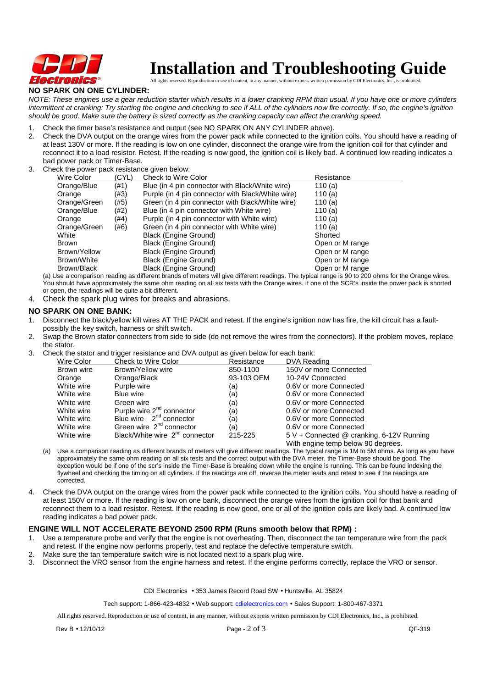

# **Installation and Troubleshooting Guide**

All rights reserved. Reproduction or use of content, in any manner, without express written permission by CDI Electronics,

## **NO SPARK ON ONE CYLINDER:**

NOTE: These engines use a gear reduction starter which results in a lower cranking RPM than usual. If you have one or more cylinders intermittent at cranking: Try starting the engine and checking to see if ALL of the cylinders now fire correctly. If so, the engine's ignition should be good. Make sure the battery is sized correctly as the cranking capacity can affect the cranking speed.

- 1. Check the timer base's resistance and output (see NO SPARK ON ANY CYLINDER above).
- 2. Check the DVA output on the orange wires from the power pack while connected to the ignition coils. You should have a reading of at least 130V or more. If the reading is low on one cylinder, disconnect the orange wire from the ignition coil for that cylinder and reconnect it to a load resistor. Retest. If the reading is now good, the ignition coil is likely bad. A continued low reading indicates a bad power pack or Timer-Base.
- 3. Check the power pack resistance given below:

| Wire Color   | (CYL) | Check to Wire Color                               | Resistance      |
|--------------|-------|---------------------------------------------------|-----------------|
| Orange/Blue  | (#1)  | Blue (in 4 pin connector with Black/White wire)   | 110 $(a)$       |
| Orange       | (#3)  | Purple (in 4 pin connector with Black/White wire) | 110 $(a)$       |
| Orange/Green | (#5)  | Green (in 4 pin connector with Black/White wire)  | 110 $(a)$       |
| Orange/Blue  | (#2)  | Blue (in 4 pin connector with White wire)         | 110 $(a)$       |
| Orange       | (#4)  | Purple (in 4 pin connector with White wire)       | 110 $(a)$       |
| Orange/Green | (#6)  | Green (in 4 pin connector with White wire)        | 110 $(a)$       |
| White        |       | Black (Engine Ground)                             | Shorted         |
| <b>Brown</b> |       | Black (Engine Ground)                             | Open or M range |
| Brown/Yellow |       | Black (Engine Ground)                             | Open or M range |
| Brown/White  |       | Black (Engine Ground)                             | Open or M range |
| Brown/Black  |       | Black (Engine Ground)                             | Open or M range |

(a) Use a comparison reading as different brands of meters will give different readings. The typical range is 90 to 200 ohms for the Orange wires. You should have approximately the same ohm reading on all six tests with the Orange wires. If one of the SCR's inside the power pack is shorted or open, the readings will be quite a bit different.

4. Check the spark plug wires for breaks and abrasions.

#### **NO SPARK ON ONE BANK:**

- Disconnect the black/yellow kill wires AT THE PACK and retest. If the engine's ignition now has fire, the kill circuit has a faultpossibly the key switch, harness or shift switch.
- 2. Swap the Brown stator connecters from side to side (do not remove the wires from the connectors). If the problem moves, replace the stator.
- 3. Check the stator and trigger resistance and DVA output as given below for each bank:

| Wire Color | Check to Wire Color                        | Resistance | DVA Reading                                                                     |
|------------|--------------------------------------------|------------|---------------------------------------------------------------------------------|
| Brown wire | Brown/Yellow wire                          | 850-1100   | 150V or more Connected                                                          |
| Orange     | Orange/Black                               | 93-103 OEM | 10-24V Connected                                                                |
| White wire | Purple wire                                | (a)        | 0.6V or more Connected                                                          |
| White wire | Blue wire                                  | (a)        | 0.6V or more Connected                                                          |
| White wire | Green wire                                 | (a)        | 0.6V or more Connected                                                          |
| White wire | Purple wire 2 <sup>nd</sup> connector      | (a)        | 0.6V or more Connected                                                          |
| White wire | Blue wire 2 <sup>nd</sup> connector        | (a)        | 0.6V or more Connected                                                          |
| White wire | Green wire $2^{nd}$ connector              | (a)        | 0.6V or more Connected                                                          |
| White wire | Black/White wire 2 <sup>nd</sup> connector | 215-225    | 5 V + Connected @ cranking, 6-12V Running<br>With engine temp below 90 degrees. |

- (a) Use a comparison reading as different brands of meters will give different readings. The typical range is 1M to 5M ohms. As long as you have approximately the same ohm reading on all six tests and the correct output with the DVA meter, the Timer-Base should be good. The exception would be if one of the scr's inside the Timer-Base is breaking down while the engine is running. This can be found indexing the flywheel and checking the timing on all cylinders. If the readings are off, reverse the meter leads and retest to see if the readings are corrected.
- 4. Check the DVA output on the orange wires from the power pack while connected to the ignition coils. You should have a reading of at least 150V or more. If the reading is low on one bank, disconnect the orange wires from the ignition coil for that bank and reconnect them to a load resistor. Retest. If the reading is now good, one or all of the ignition coils are likely bad. A continued low reading indicates a bad power pack.

#### **ENGINE WILL NOT ACCELERATE BEYOND 2500 RPM (Runs smooth below that RPM) :**

- 1. Use a temperature probe and verify that the engine is not overheating. Then, disconnect the tan temperature wire from the pack and retest. If the engine now performs properly, test and replace the defective temperature switch.
- 2. Make sure the tan temperature switch wire is not located next to a spark plug wire.<br>3. Disconnect the VRO sensor from the engine harness and retest. If the engine perfor-
- Disconnect the VRO sensor from the engine harness and retest. If the engine performs correctly, replace the VRO or sensor.

CDI Electronics • 353 James Record Road SW • Huntsville, AL 35824

Tech support: 1-866-423-4832 • Web support: cdielectronics.com • Sales Support: 1-800-467-3371

All rights reserved. Reproduction or use of content, in any manner, without express written permission by CDI Electronics, Inc., is prohibited.